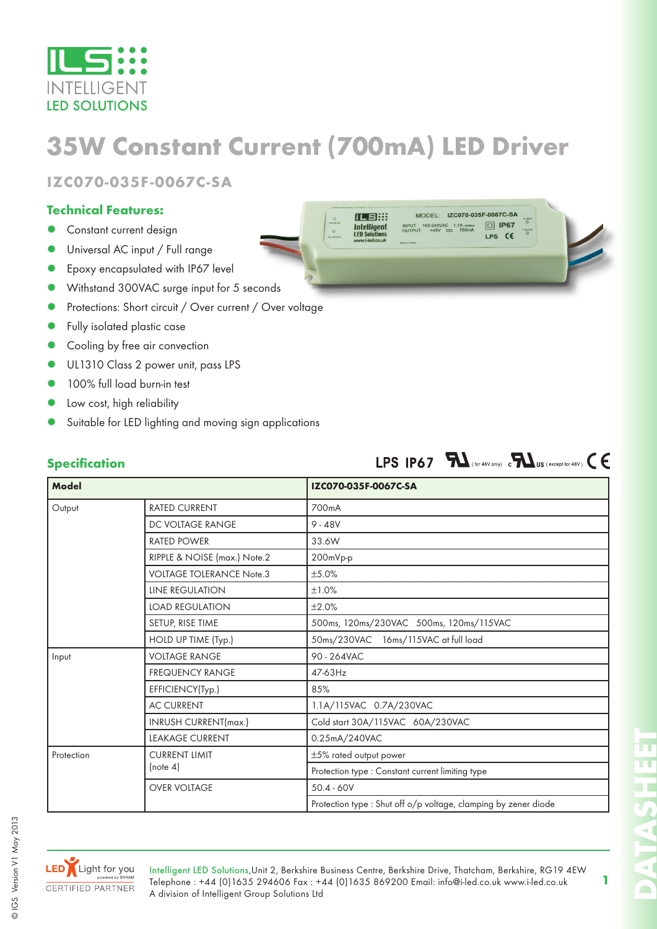

# **35W Constant Current (700mA) LED Driver**

化自用

**IZC070-035F-0067C-SA**

#### **Technical Features:**

- Constant current design
- Universal AC input / Full range
- Epoxy encapsulated with IP67 level
- Withstand 300VAC surge input for 5 seconds
- Protections: Short circuit / Over current / Over voltage
- Fully isolated plastic case
- Cooling by free air convection
- UL1310 Class 2 power unit, pass LPS
- 100% full load burn-in test
- Low cost, high reliability
- Suitable for LED lighting and moving sign applications

| <b>Specification</b><br><b>Model</b> |                                 | LPS IP67 $\sum$ (for 48V only) contains (except for 48V) $\epsilon$<br>IZC070-035F-0067C-SA |
|--------------------------------------|---------------------------------|---------------------------------------------------------------------------------------------|
|                                      |                                 |                                                                                             |
|                                      | DC VOLTAGE RANGE                | $9 - 48V$                                                                                   |
|                                      | <b>RATED POWER</b>              | 33.6W                                                                                       |
|                                      | RIPPLE & NOISE (max.) Note.2    | 200mVp-p                                                                                    |
|                                      | <b>VOLTAGE TOLERANCE Note.3</b> | ±5.0%                                                                                       |
|                                      | <b>LINE REGULATION</b>          | ±1.0%                                                                                       |
|                                      | <b>LOAD REGULATION</b>          | ±2.0%                                                                                       |
|                                      | SETUP, RISE TIME                | 500ms, 120ms/230VAC 500ms, 120ms/115VAC                                                     |
|                                      | HOLD UP TIME (Typ.)             | 50ms/230VAC 16ms/115VAC at full load                                                        |
| Input                                | <b>VOLTAGE RANGE</b>            | 90 - 264VAC                                                                                 |
|                                      | <b>FREQUENCY RANGE</b>          | 47-63Hz                                                                                     |
|                                      | EFFICIENCY(Typ.)                | 85%                                                                                         |
|                                      | <b>AC CURRENT</b>               | 1.1A/115VAC 0.7A/230VAC                                                                     |
|                                      | <b>INRUSH CURRENT(max.)</b>     | Cold start 30A/115VAC 60A/230VAC                                                            |
|                                      | <b>LEAKAGE CURRENT</b>          | 0.25mA/240VAC                                                                               |
| Protection                           | <b>CURRENT LIMIT</b>            | ±5% rated output power                                                                      |
|                                      | (note 4)                        | Protection type : Constant current limiting type                                            |
|                                      | <b>OVER VOLTAGE</b>             | $50.4 - 60V$                                                                                |
|                                      |                                 | Protection type : Shut off o/p voltage, clamping by zener diode                             |



© IGS Version V1 May 2013

© IGS Version V1 May 2013

 $\blacksquare$ 



MODEL: IZC070-035F-0067C-SA

**1**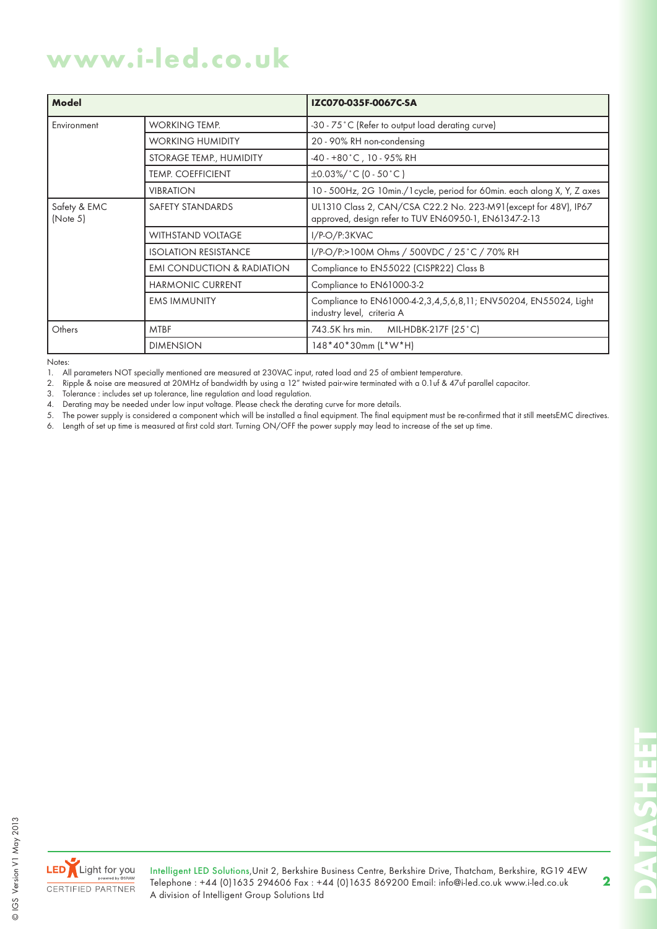## **www.i-led.co.uk**

| Model                    |                                       | IZC070-035F-0067C-SA                                                                                                      |
|--------------------------|---------------------------------------|---------------------------------------------------------------------------------------------------------------------------|
| Environment              | <b>WORKING TEMP.</b>                  | -30 - 75°C (Refer to output load derating curve)                                                                          |
|                          | <b>WORKING HUMIDITY</b>               | 20 - 90% RH non-condensing                                                                                                |
|                          | STORAGE TEMP., HUMIDITY               | $-40 - +80$ °C, 10 - 95% RH                                                                                               |
|                          | <b>TEMP. COEFFICIENT</b>              | $\pm 0.03\%/^{\circ}C(0.50^{\circ}C)$                                                                                     |
|                          | <b>VIBRATION</b>                      | 10 - 500Hz, 2G 10min./1 cycle, period for 60min. each along X, Y, Z axes                                                  |
| Safety & EMC<br>(Note 5) | SAFETY STANDARDS                      | UL1310 Class 2, CAN/CSA C22.2 No. 223-M91 (except for 48V), IP67<br>approved, design refer to TUV EN60950-1, EN61347-2-13 |
|                          | <b>WITHSTAND VOLTAGE</b>              | $I/P-O/P:3KVAC$                                                                                                           |
|                          | <b>ISOLATION RESISTANCE</b>           | I/P-O/P:>100M Ohms / 500VDC / 25°C / 70% RH                                                                               |
|                          | <b>EMI CONDUCTION &amp; RADIATION</b> | Compliance to EN55022 (CISPR22) Class B                                                                                   |
|                          | <b>HARMONIC CURRENT</b>               | Compliance to EN61000-3-2                                                                                                 |
|                          | <b>EMS IMMUNITY</b>                   | Compliance to EN61000-4-2, 3, 4, 5, 6, 8, 11; ENV50204, EN55024, Light<br>industry level, criteria A                      |
| Others                   | <b>MTBF</b>                           | 743.5K hrs min.<br>MIL-HDBK-217F (25 °C)                                                                                  |
|                          | <b>DIMENSION</b>                      | 148*40*30mm (L*W*H)                                                                                                       |

Notes:

1. All parameters NOT specially mentioned are measured at 230VAC input, rated load and 25 of ambient temperature.

2. Ripple & noise are measured at 20MHz of bandwidth by using a 12" twisted pair-wire terminated with a 0.1uf & 47uf parallel capacitor.

3. Tolerance : includes set up tolerance, line regulation and load regulation.

4. Derating may be needed under low input voltage. Please check the derating curve for more details.<br>5. The power supply is considered a component which will be installed a final equipment. The final equ

The power supply is considered a component which will be installed a final equipment. The final equipment must be re-confirmed that it still meetsEMC directives.

6. Length of set up time is measured at first cold start. Turning ON/OFF the power supply may lead to increase of the set up time.



© IGS Version V1 May 2013

© IGS Version V1 May 2013

Intelligent LED Solutions,Unit 2, Berkshire Business Centre, Berkshire Drive, Thatcham, Berkshire, RG19 4EW Telephone : +44 (0)1635 294606 Fax : +44 (0)1635 869200 Email: info@i-led.co.uk www.i-led.co.uk A division of Intelligent Group Solutions Ltd